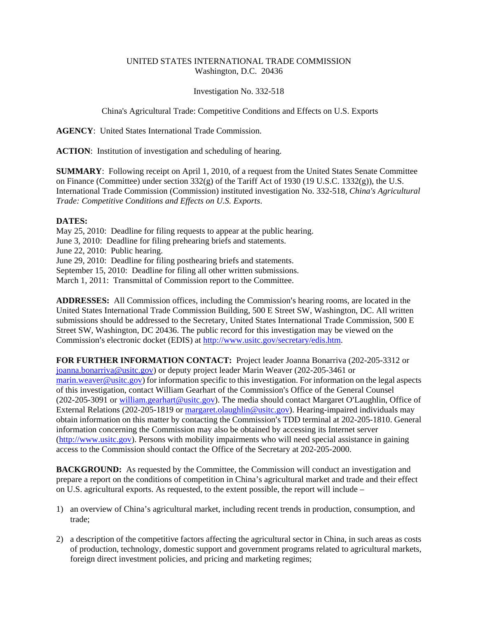## UNITED STATES INTERNATIONAL TRADE COMMISSION Washington, D.C. 20436

Investigation No. 332-518

China's Agricultural Trade: Competitive Conditions and Effects on U.S. Exports

**AGENCY**: United States International Trade Commission.

**ACTION**: Institution of investigation and scheduling of hearing.

**SUMMARY**: Following receipt on April 1, 2010, of a request from the United States Senate Committee on Finance (Committee) under section 332(g) of the Tariff Act of 1930 (19 U.S.C. 1332(g)), the U.S. International Trade Commission (Commission) instituted investigation No. 332-518, *China's Agricultural Trade: Competitive Conditions and Effects on U.S. Exports*.

## **DATES:**

May 25, 2010: Deadline for filing requests to appear at the public hearing. June 3, 2010: Deadline for filing prehearing briefs and statements. June 22, 2010: Public hearing. June 29, 2010: Deadline for filing posthearing briefs and statements. September 15, 2010: Deadline for filing all other written submissions. March 1, 2011: Transmittal of Commission report to the Committee.

ADDRESSES: All Commission offices, including the Commission's hearing rooms, are located in the United States International Trade Commission Building, 500 E Street SW, Washington, DC. All written submissions should be addressed to the Secretary, United States International Trade Commission, 500 E Street SW, Washington, DC 20436. The public record for this investigation may be viewed on the Commission's electronic docket (EDIS) at http://www.usitc.gov/secretary/edis.htm.

**FOR FURTHER INFORMATION CONTACT:** Project leader Joanna Bonarriva (202-205-3312 or joanna.bonarriva@usitc.gov) or deputy project leader Marin Weaver (202-205-3461 or marin.weaver@usitc.gov) for information specific to this investigation. For information on the legal aspects of this investigation, contact William Gearhart of the Commission's Office of the General Counsel  $(202-205-3091)$  or william.gearhart@usitc.gov). The media should contact Margaret O'Laughlin, Office of External Relations (202-205-1819 or margaret.olaughlin@usitc.gov). Hearing-impaired individuals may obtain information on this matter by contacting the Commission's TDD terminal at 202-205-1810. General information concerning the Commission may also be obtained by accessing its Internet server (http://www.usitc.gov). Persons with mobility impairments who will need special assistance in gaining access to the Commission should contact the Office of the Secretary at 202-205-2000.

**BACKGROUND:** As requested by the Committee, the Commission will conduct an investigation and prepare a report on the conditions of competition in China's agricultural market and trade and their effect on U.S. agricultural exports. As requested, to the extent possible, the report will include –

- 1) an overview of China's agricultural market, including recent trends in production, consumption, and trade;
- 2) a description of the competitive factors affecting the agricultural sector in China, in such areas as costs of production, technology, domestic support and government programs related to agricultural markets, foreign direct investment policies, and pricing and marketing regimes;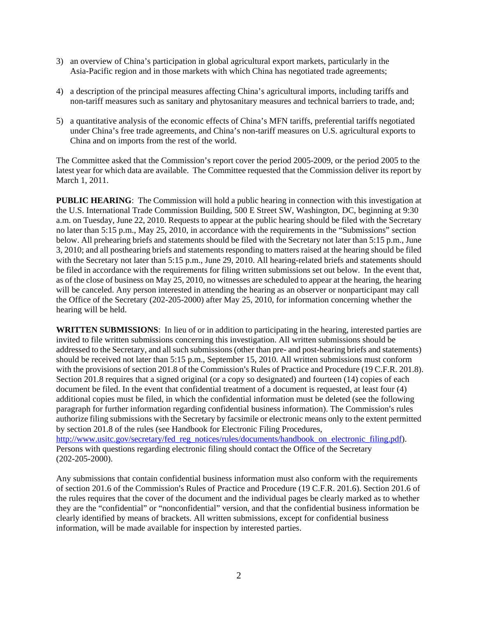- 3) an overview of China's participation in global agricultural export markets, particularly in the Asia-Pacific region and in those markets with which China has negotiated trade agreements;
- 4) a description of the principal measures affecting China's agricultural imports, including tariffs and non-tariff measures such as sanitary and phytosanitary measures and technical barriers to trade, and;
- 5) a quantitative analysis of the economic effects of China's MFN tariffs, preferential tariffs negotiated under China's free trade agreements, and China's non-tariff measures on U.S. agricultural exports to China and on imports from the rest of the world.

The Committee asked that the Commission's report cover the period 2005-2009, or the period 2005 to the latest year for which data are available. The Committee requested that the Commission deliver its report by March 1, 2011.

**PUBLIC HEARING:** The Commission will hold a public hearing in connection with this investigation at the U.S. International Trade Commission Building, 500 E Street SW, Washington, DC, beginning at 9:30 a.m. on Tuesday, June 22, 2010. Requests to appear at the public hearing should be filed with the Secretary no later than 5:15 p.m., May 25, 2010, in accordance with the requirements in the "Submissions" section below. All prehearing briefs and statements should be filed with the Secretary not later than 5:15 p.m., June 3, 2010; and all posthearing briefs and statements responding to matters raised at the hearing should be filed with the Secretary not later than 5:15 p.m., June 29, 2010. All hearing-related briefs and statements should be filed in accordance with the requirements for filing written submissions set out below. In the event that, as of the close of business on May 25, 2010, no witnesses are scheduled to appear at the hearing, the hearing will be canceled. Any person interested in attending the hearing as an observer or nonparticipant may call the Office of the Secretary (202-205-2000) after May 25, 2010, for information concerning whether the hearing will be held.

**WRITTEN SUBMISSIONS**: In lieu of or in addition to participating in the hearing, interested parties are invited to file written submissions concerning this investigation. All written submissions should be addressed to the Secretary, and all such submissions (other than pre- and post-hearing briefs and statements) should be received not later than 5:15 p.m., September 15, 2010. All written submissions must conform with the provisions of section 201.8 of the Commission's Rules of Practice and Procedure (19 C.F.R. 201.8). Section 201.8 requires that a signed original (or a copy so designated) and fourteen (14) copies of each document be filed. In the event that confidential treatment of a document is requested, at least four (4) additional copies must be filed, in which the confidential information must be deleted (see the following paragraph for further information regarding confidential business information). The Commission's rules authorize filing submissions with the Secretary by facsimile or electronic means only to the extent permitted by section 201.8 of the rules (see Handbook for Electronic Filing Procedures, http://www.usitc.gov/secretary/fed\_reg\_notices/rules/documents/handbook\_on\_electronic\_filing.pdf). Persons with questions regarding electronic filing should contact the Office of the Secretary (202-205-2000).

Any submissions that contain confidential business information must also conform with the requirements of section 201.6 of the Commission's Rules of Practice and Procedure (19 C.F.R. 201.6). Section 201.6 of the rules requires that the cover of the document and the individual pages be clearly marked as to whether they are the "confidential" or "nonconfidential" version, and that the confidential business information be clearly identified by means of brackets. All written submissions, except for confidential business information, will be made available for inspection by interested parties.